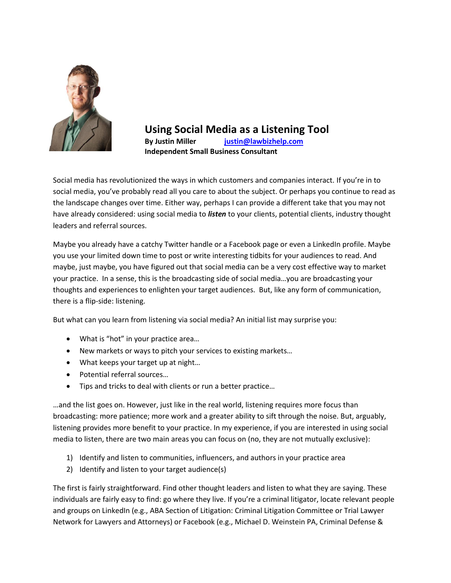

**Using Social Media as a Listening Tool By Justin Miller [justin@lawbizhelp.com](mailto:justin@lawbizhelp.com) Independent Small Business Consultant**

Social media has revolutionized the ways in which customers and companies interact. If you're in to social media, you've probably read all you care to about the subject. Or perhaps you continue to read as the landscape changes over time. Either way, perhaps I can provide a different take that you may not have already considered: using social media to *listen* to your clients, potential clients, industry thought leaders and referral sources.

Maybe you already have a catchy Twitter handle or a Facebook page or even a LinkedIn profile. Maybe you use your limited down time to post or write interesting tidbits for your audiences to read. And maybe, just maybe, you have figured out that social media can be a very cost effective way to market your practice. In a sense, this is the broadcasting side of social media…you are broadcasting your thoughts and experiences to enlighten your target audiences. But, like any form of communication, there is a flip-side: listening.

But what can you learn from listening via social media? An initial list may surprise you:

- What is "hot" in your practice area...
- New markets or ways to pitch your services to existing markets…
- What keeps your target up at night...
- Potential referral sources...
- Tips and tricks to deal with clients or run a better practice...

…and the list goes on. However, just like in the real world, listening requires more focus than broadcasting: more patience; more work and a greater ability to sift through the noise. But, arguably, listening provides more benefit to your practice. In my experience, if you are interested in using social media to listen, there are two main areas you can focus on (no, they are not mutually exclusive):

- 1) Identify and listen to communities, influencers, and authors in your practice area
- 2) Identify and listen to your target audience(s)

The first is fairly straightforward. Find other thought leaders and listen to what they are saying. These individuals are fairly easy to find: go where they live. If you're a criminal litigator, locate relevant people and groups on LinkedIn (e.g., ABA Section of Litigation: Criminal Litigation Committee or Trial Lawyer Network for Lawyers and Attorneys) or Facebook (e.g., Michael D. Weinstein PA, Criminal Defense &